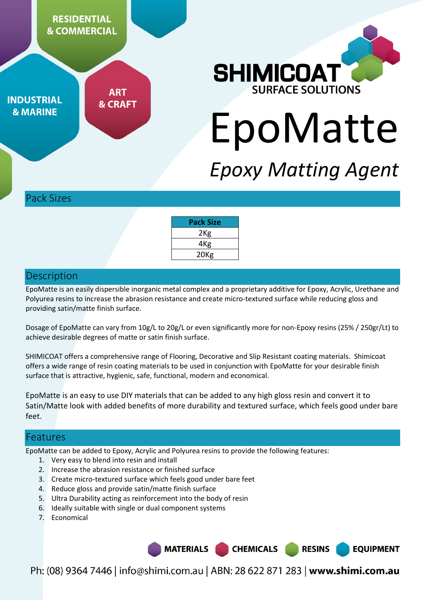

**ART INDUSTRIAL & CRAFT & MARINE** 



# EpoMatte

# *Epoxy Matting Agent*

Pack Sizes

| Pack Size        |
|------------------|
| 2 <sub>Kg</sub>  |
| 4Kg              |
| 20 <sub>Kg</sub> |

#### **Description**

EpoMatte is an easily dispersible inorganic metal complex and a proprietary additive for Epoxy, Acrylic, Urethane and Polyurea resins to increase the abrasion resistance and create micro-textured surface while reducing gloss and providing satin/matte finish surface.

Dosage of EpoMatte can vary from 10g/L to 20g/L or even significantly more for non-Epoxy resins (25% / 250gr/Lt) to achieve desirable degrees of matte or satin finish surface.

SHIMICOAT offers a comprehensive range of Flooring, Decorative and Slip Resistant coating materials. Shimicoat offers a wide range of resin coating materials to be used in conjunction with EpoMatte for your desirable finish surface that is attractive, hygienic, safe, functional, modern and economical.

EpoMatte is an easy to use DIY materials that can be added to any high gloss resin and convert it to Satin/Matte look with added benefits of more durability and textured surface, which feels good under bare feet.

#### Features

EpoMatte can be added to Epoxy, Acrylic and Polyurea resins to provide the following features:

- 1. Very easy to blend into resin and install
- 2. Increase the abrasion resistance or finished surface
- 3. Create micro-textured surface which feels good under bare feet
- 4. Reduce gloss and provide satin/matte finish surface
- 5. Ultra Durability acting as reinforcement into the body of resin
- 6. Ideally suitable with single or dual component systems
- 7. Economical

**MATERIALS CHEMICALS RESINS EQUIPMENT** 

Ph: (08) 9364 7446 | info@shimi.com.au | ABN: 28 622 871 283 | www.shimi.com.au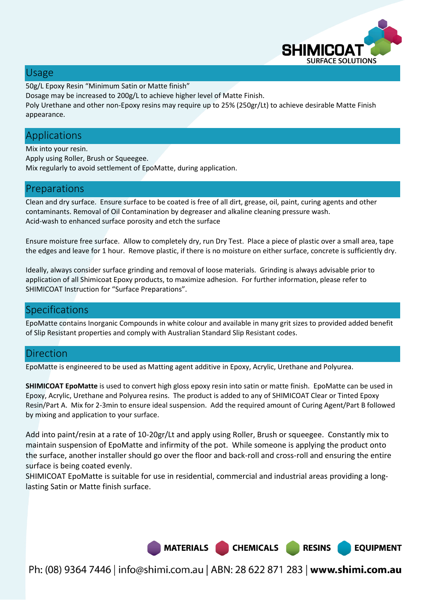

**EQUIPMENT** 

#### Usage

50g/L Epoxy Resin "Minimum Satin or Matte finish"

Dosage may be increased to 200g/L to achieve higher level of Matte Finish.

Poly Urethane and other non-Epoxy resins may require up to 25% (250gr/Lt) to achieve desirable Matte Finish appearance.

# Applications

Mix into your resin. Apply using Roller, Brush or Squeegee. Mix regularly to avoid settlement of EpoMatte, during application.

# Preparations

Clean and dry surface. Ensure surface to be coated is free of all dirt, grease, oil, paint, curing agents and other contaminants. Removal of Oil Contamination by degreaser and alkaline cleaning pressure wash. Acid-wash to enhanced surface porosity and etch the surface

Ensure moisture free surface. Allow to completely dry, run Dry Test. Place a piece of plastic over a small area, tape the edges and leave for 1 hour. Remove plastic, if there is no moisture on either surface, concrete is sufficiently dry.

Ideally, always consider surface grinding and removal of loose materials. Grinding is always advisable prior to application of all Shimicoat Epoxy products, to maximize adhesion. For further information, please refer to SHIMICOAT Instruction for "Surface Preparations".

# Specifications

EpoMatte contains Inorganic Compounds in white colour and available in many grit sizes to provided added benefit of Slip Resistant properties and comply with Australian Standard Slip Resistant codes.

# **Direction**

EpoMatte is engineered to be used as Matting agent additive in Epoxy, Acrylic, Urethane and Polyurea.

**SHIMICOAT EpoMatte** is used to convert high gloss epoxy resin into satin or matte finish. EpoMatte can be used in Epoxy, Acrylic, Urethane and Polyurea resins. The product is added to any of SHIMICOAT Clear or Tinted Epoxy Resin/Part A. Mix for 2-3min to ensure ideal suspension. Add the required amount of Curing Agent/Part B followed by mixing and application to your surface.

Add into paint/resin at a rate of 10-20gr/Lt and apply using Roller, Brush or squeegee. Constantly mix to maintain suspension of EpoMatte and infirmity of the pot. While someone is applying the product onto the surface, another installer should go over the floor and back-roll and cross-roll and ensuring the entire surface is being coated evenly.

SHIMICOAT EpoMatte is suitable for use in residential, commercial and industrial areas providing a longlasting Satin or Matte finish surface.



Ph: (08) 9364 7446 | info@shimi.com.au | ABN: 28 622 871 283 | www.shimi.com.au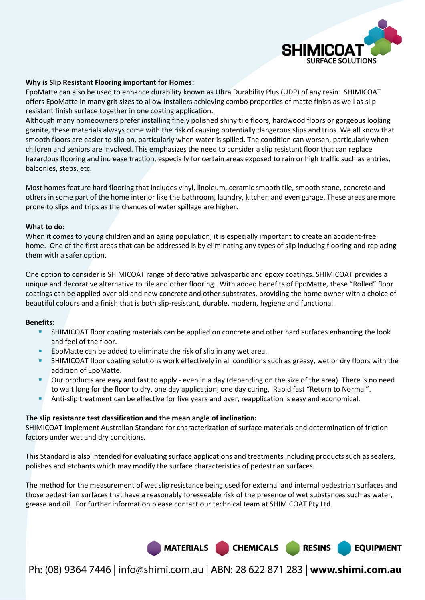

#### **Why is Slip Resistant Flooring important for Homes:**

EpoMatte can also be used to enhance durability known as Ultra Durability Plus (UDP) of any resin. SHIMICOAT offers EpoMatte in many grit sizes to allow installers achieving combo properties of matte finish as well as slip resistant finish surface together in one coating application.

Although many homeowners prefer installing finely polished shiny tile floors, hardwood floors or gorgeous looking granite, these materials always come with the risk of causing potentially dangerous slips and trips. We all know that smooth floors are easier to slip on, particularly when water is spilled. The condition can worsen, particularly when children and seniors are involved. This emphasizes the need to consider a slip resistant floor that can replace hazardous flooring and increase traction, especially for certain areas exposed to rain or high traffic such as entries, balconies, steps, etc.

Most homes feature hard flooring that includes vinyl, linoleum, ceramic smooth tile, smooth stone, concrete and others in some part of the home interior like the bathroom, laundry, kitchen and even garage. These areas are more prone to slips and trips as the chances of water spillage are higher.

#### **What to do:**

When it comes to young children and an aging population, it is especially important to create an accident-free home. One of the first areas that can be addressed is by eliminating any types of slip inducing flooring and replacing them with a safer option.

One option to consider is SHIMICOAT range of decorative polyaspartic and epoxy coatings. SHIMICOAT provides a unique and decorative alternative to tile and other flooring. With added benefits of EpoMatte, these "Rolled" floor coatings can be applied over old and new concrete and other substrates, providing the home owner with a choice of beautiful colours and a finish that is both slip-resistant, durable, modern, hygiene and functional.

#### **Benefits:**

- SHIMICOAT floor coating materials can be applied on concrete and other hard surfaces enhancing the look and feel of the floor.
- EpoMatte can be added to eliminate the risk of slip in any wet area.
- SHIMICOAT floor coating solutions work effectively in all conditions such as greasy, wet or dry floors with the addition of EpoMatte.
- Our products are easy and fast to apply even in a day (depending on the size of the area). There is no need to wait long for the floor to dry, one day application, one day curing. Rapid fast "Return to Normal".
- Anti-slip treatment can be effective for five years and over, reapplication is easy and economical.

#### **The slip resistance test classification and the mean angle of inclination:**

SHIMICOAT implement Australian Standard for characterization of surface materials and determination of friction factors under wet and dry conditions.

This Standard is also intended for evaluating surface applications and treatments including products such as sealers, polishes and etchants which may modify the surface characteristics of pedestrian surfaces.

The method for the measurement of wet slip resistance being used for external and internal pedestrian surfaces and those pedestrian surfaces that have a reasonably foreseeable risk of the presence of wet substances such as water, grease and oil. For further information please contact our technical team at SHIMICOAT Pty Ltd.



Ph: (08) 9364 7446 | info@shimi.com.au | ABN: 28 622 871 283 | www.shimi.com.au

**RESINS** 

**EQUIPMENT**